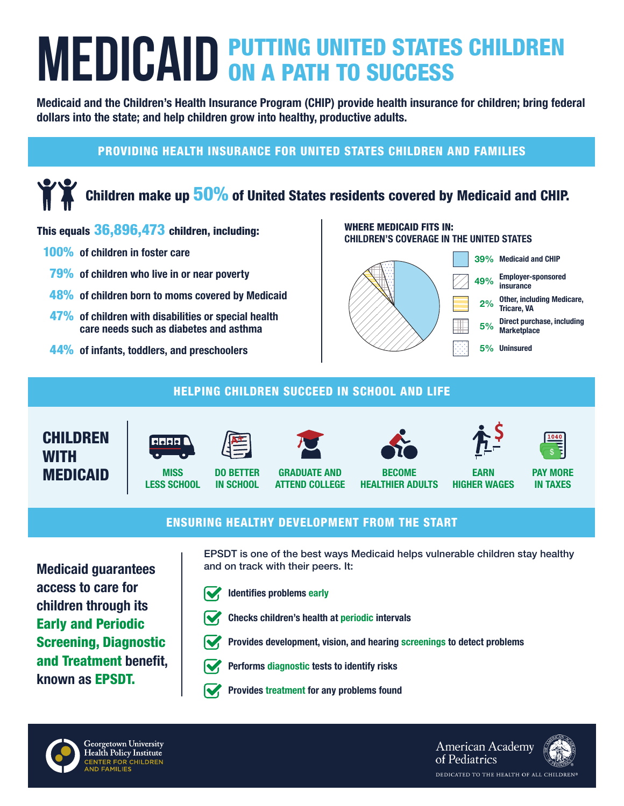# **MEDICAID** PUTTING UNITED STATES CHILDREN

Medicaid and the Children's Health Insurance Program (CHIP) provide health insurance for children; bring federal dollars into the state; and help children grow into healthy, productive adults.

### PROVIDING HEALTH INSURANCE FOR UNITED STATES CHILDREN AND FAMILIES

# Children make up  $50\%$  of United States residents covered by Medicaid and CHIP.

#### This equals 36,896,473 children, including:

- 100% of children in foster care
- 79% of children who live in or near poverty
- **48%** of children born to moms covered by Medicaid
- 47% of children with disabilities or special health care needs such as diabetes and asthma
- 44% of infants, toddlers, and preschoolers

#### WHERE MEDICAID FITS IN: CHILDREN'S COVERAGE IN THE UNITED STATES



#### HELPING CHILDREN SUCCEED IN SCHOOL AND LIFE





**MISS** LESS SCHOOL



GRADUATE AND ATTEND COLLEGE



HEALTHIER ADULTS



EARN HIGHER WAGES



PAY MORE IN TAXES

#### ENSURING HEALTHY DEVELOPMENT FROM THE START

Medicaid guarantees access to care for children through its Early and Periodic Screening, Diagnostic and Treatment benefit, known as EPSDT.

EPSDT is one of the best ways Medicaid helps vulnerable children stay healthy and on track with their peers. It:



DO BETTER IN SCHOOL

Identifies problems early



Checks children's health at periodic intervals

Provides development, vision, and hearing screenings to detect problems



- Performs diagnostic tests to identify risks
- Provides treatment for any problems found



Georgetown University Health Policy Institute CENTER FOR CHILDREN<br>AND FAMILIES **American Academy** of Pediatrics DEDICATED TO THE HEALTH OF ALL CHILDREN®